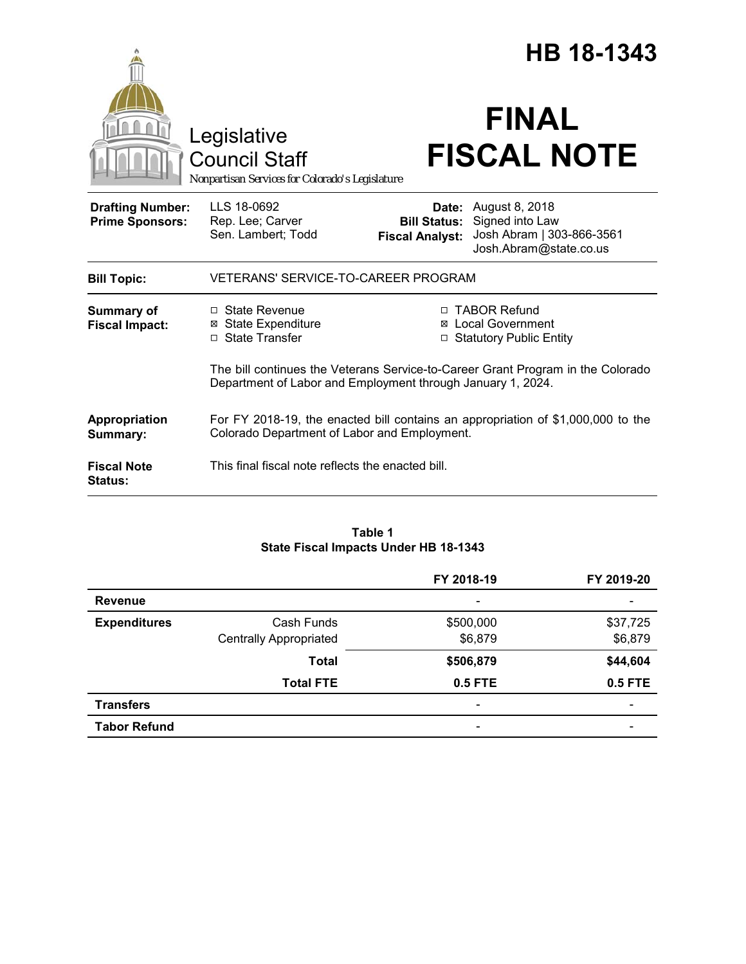|                                                                                        |                                                                                                                                                |                                                                          | HB 18-1343                                                                               |  |
|----------------------------------------------------------------------------------------|------------------------------------------------------------------------------------------------------------------------------------------------|--------------------------------------------------------------------------|------------------------------------------------------------------------------------------|--|
| Legislative<br><b>Council Staff</b><br>Nonpartisan Services for Colorado's Legislature |                                                                                                                                                | <b>FINAL</b><br><b>FISCAL NOTE</b>                                       |                                                                                          |  |
| <b>Drafting Number:</b><br><b>Prime Sponsors:</b>                                      | LLS 18-0692<br>Rep. Lee; Carver<br>Sen. Lambert; Todd                                                                                          | Date:<br><b>Bill Status:</b><br><b>Fiscal Analyst:</b>                   | August 8, 2018<br>Signed into Law<br>Josh Abram   303-866-3561<br>Josh.Abram@state.co.us |  |
| <b>Bill Topic:</b>                                                                     | VETERANS' SERVICE-TO-CAREER PROGRAM                                                                                                            |                                                                          |                                                                                          |  |
| Summary of<br><b>Fiscal Impact:</b>                                                    | □ State Revenue<br><b>⊠ State Expenditure</b><br>□ State Transfer                                                                              | □ TABOR Refund<br><b>⊠</b> Local Government<br>□ Statutory Public Entity |                                                                                          |  |
|                                                                                        | The bill continues the Veterans Service-to-Career Grant Program in the Colorado<br>Department of Labor and Employment through January 1, 2024. |                                                                          |                                                                                          |  |
| Appropriation<br>Summary:                                                              | For FY 2018-19, the enacted bill contains an appropriation of \$1,000,000 to the<br>Colorado Department of Labor and Employment.               |                                                                          |                                                                                          |  |
| <b>Fiscal Note</b><br>Status:                                                          | This final fiscal note reflects the enacted bill.                                                                                              |                                                                          |                                                                                          |  |

## **Table 1 State Fiscal Impacts Under HB 18-1343**

|                     |                               | FY 2018-19                   | FY 2019-20               |
|---------------------|-------------------------------|------------------------------|--------------------------|
| <b>Revenue</b>      |                               | $\qquad \qquad \blacksquare$ |                          |
| <b>Expenditures</b> | Cash Funds                    | \$500,000                    | \$37,725                 |
|                     | <b>Centrally Appropriated</b> | \$6,879                      | \$6,879                  |
|                     | <b>Total</b>                  | \$506,879                    | \$44,604                 |
|                     | <b>Total FTE</b>              | 0.5 FTE                      | <b>0.5 FTE</b>           |
| <b>Transfers</b>    |                               | $\qquad \qquad \blacksquare$ | $\overline{\phantom{0}}$ |
| <b>Tabor Refund</b> |                               | $\qquad \qquad \blacksquare$ |                          |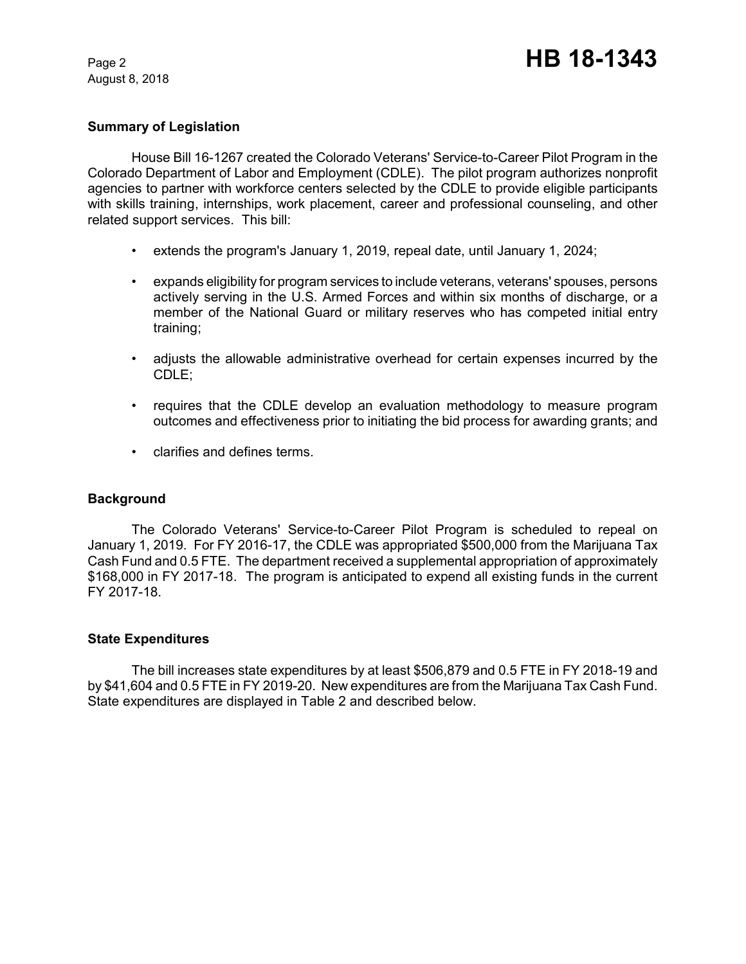August 8, 2018

## **Summary of Legislation**

House Bill 16-1267 created the Colorado Veterans' Service-to-Career Pilot Program in the Colorado Department of Labor and Employment (CDLE). The pilot program authorizes nonprofit agencies to partner with workforce centers selected by the CDLE to provide eligible participants with skills training, internships, work placement, career and professional counseling, and other related support services. This bill:

- extends the program's January 1, 2019, repeal date, until January 1, 2024;
- expands eligibility for program services to include veterans, veterans' spouses, persons actively serving in the U.S. Armed Forces and within six months of discharge, or a member of the National Guard or military reserves who has competed initial entry training;
- adjusts the allowable administrative overhead for certain expenses incurred by the CDLE;
- requires that the CDLE develop an evaluation methodology to measure program outcomes and effectiveness prior to initiating the bid process for awarding grants; and
- clarifies and defines terms.

## **Background**

The Colorado Veterans' Service-to-Career Pilot Program is scheduled to repeal on January 1, 2019. For FY 2016-17, the CDLE was appropriated \$500,000 from the Marijuana Tax Cash Fund and 0.5 FTE. The department received a supplemental appropriation of approximately \$168,000 in FY 2017-18. The program is anticipated to expend all existing funds in the current FY 2017-18.

## **State Expenditures**

The bill increases state expenditures by at least \$506,879 and 0.5 FTE in FY 2018-19 and by \$41,604 and 0.5 FTE in FY 2019-20. New expenditures are from the Marijuana Tax Cash Fund. State expenditures are displayed in Table 2 and described below.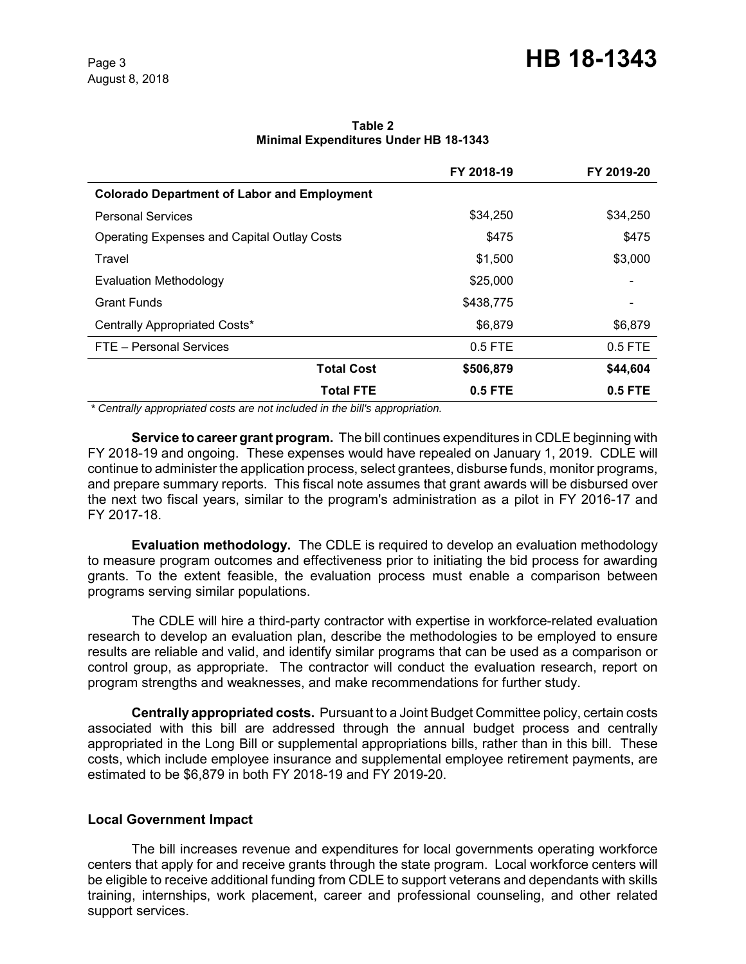|                                                    | FY 2018-19 | FY 2019-20 |
|----------------------------------------------------|------------|------------|
| <b>Colorado Department of Labor and Employment</b> |            |            |
| <b>Personal Services</b>                           | \$34,250   | \$34,250   |
| <b>Operating Expenses and Capital Outlay Costs</b> | \$475      | \$475      |
| Travel                                             | \$1,500    | \$3,000    |
| <b>Evaluation Methodology</b>                      | \$25,000   |            |
| <b>Grant Funds</b>                                 | \$438,775  |            |
| Centrally Appropriated Costs*                      | \$6,879    | \$6,879    |
| FTE - Personal Services                            | $0.5$ FTE  | 0.5 FTE    |
| <b>Total Cost</b>                                  | \$506,879  | \$44,604   |
| <b>Total FTE</b>                                   | $0.5$ FTE  | $0.5$ FTE  |

#### **Table 2 Minimal Expenditures Under HB 18-1343**

 *\* Centrally appropriated costs are not included in the bill's appropriation.*

**Service to career grant program.** The bill continues expenditures in CDLE beginning with FY 2018-19 and ongoing. These expenses would have repealed on January 1, 2019. CDLE will continue to administer the application process, select grantees, disburse funds, monitor programs, and prepare summary reports. This fiscal note assumes that grant awards will be disbursed over the next two fiscal years, similar to the program's administration as a pilot in FY 2016-17 and FY 2017-18.

**Evaluation methodology.** The CDLE is required to develop an evaluation methodology to measure program outcomes and effectiveness prior to initiating the bid process for awarding grants. To the extent feasible, the evaluation process must enable a comparison between programs serving similar populations.

The CDLE will hire a third-party contractor with expertise in workforce-related evaluation research to develop an evaluation plan, describe the methodologies to be employed to ensure results are reliable and valid, and identify similar programs that can be used as a comparison or control group, as appropriate. The contractor will conduct the evaluation research, report on program strengths and weaknesses, and make recommendations for further study.

**Centrally appropriated costs.** Pursuant to a Joint Budget Committee policy, certain costs associated with this bill are addressed through the annual budget process and centrally appropriated in the Long Bill or supplemental appropriations bills, rather than in this bill. These costs, which include employee insurance and supplemental employee retirement payments, are estimated to be \$6,879 in both FY 2018-19 and FY 2019-20.

## **Local Government Impact**

The bill increases revenue and expenditures for local governments operating workforce centers that apply for and receive grants through the state program. Local workforce centers will be eligible to receive additional funding from CDLE to support veterans and dependants with skills training, internships, work placement, career and professional counseling, and other related support services.